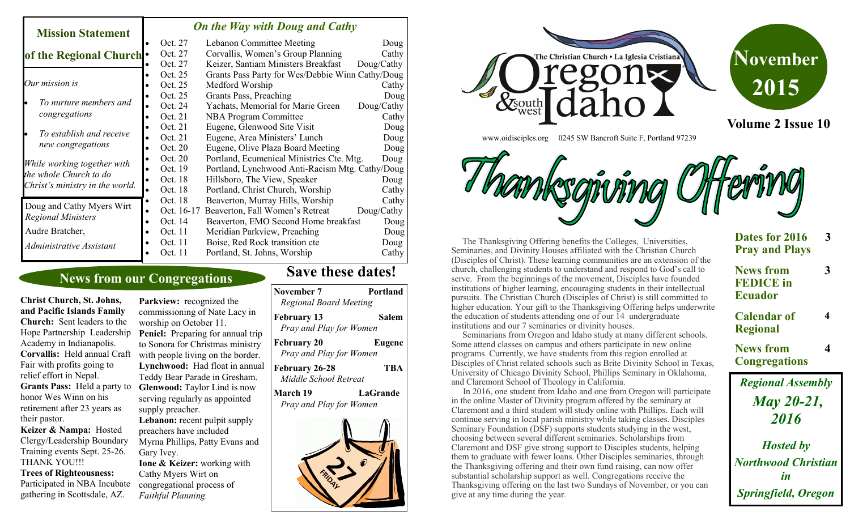#### *On the Way with Doug and Cathy*

| NIISSIOIL SPARHEINEN                          |           |            |                                                  |            |
|-----------------------------------------------|-----------|------------|--------------------------------------------------|------------|
|                                               |           | Oct. 27    | Lebanon Committee Meeting                        | Doug       |
| of the Regional Church .                      |           | Oct. 27    | Corvallis, Women's Group Planning                | Cathy      |
|                                               |           | Oct. 27    | Keizer, Santiam Ministers Breakfast              | Doug/Cathy |
|                                               |           | Oct. 25    | Grants Pass Party for Wes/Debbie Winn Cathy/Doug |            |
| Our mission is                                |           | Oct. 25    | Medford Worship                                  | Cathy      |
|                                               |           | Oct. 25    | Grants Pass, Preaching                           | Doug       |
| To nurture members and                        |           | Oct. 24    | Yachats, Memorial for Marie Green                | Doug/Cathy |
| congregations                                 |           | Oct. 21    | <b>NBA Program Committee</b>                     | Cathy      |
| To establish and receive<br>new congregations |           | Oct. 21    | Eugene, Glenwood Site Visit                      | Doug       |
|                                               |           | Oct. 21    | Eugene, Area Ministers' Lunch                    | Doug       |
|                                               |           | Oct. 20    | Eugene, Olive Plaza Board Meeting                | Doug       |
| While working together with                   |           | Oct. 20    | Portland, Ecumenical Ministries Cte. Mtg.        | Doug       |
| the whole Church to do                        |           | Oct. 19    | Portland, Lynchwood Anti-Racism Mtg. Cathy/Doug  |            |
| Christ's ministry in the world.               |           | Oct. 18    | Hillsboro, The View, Speaker                     | Doug       |
|                                               |           | Oct. 18    | Portland, Christ Church, Worship                 | Cathy      |
| Doug and Cathy Myers Wirt                     | $\bullet$ | Oct. 18    | Beaverton, Murray Hills, Worship                 | Cathy      |
| <b>Regional Ministers</b>                     |           | Oct. 16-17 | Beaverton, Fall Women's Retreat                  | Doug/Cathy |
|                                               |           | Oct. 14    | Beaverton, EMO Second Home breakfast             | Doug       |
| Audre Bratcher,                               |           | Oct. 11    | Meridian Parkview, Preaching                     | Doug       |
| Administrative Assistant                      |           | Oct. 11    | Boise, Red Rock transition cte                   | Doug       |
|                                               |           | Oct. 11    | Portland, St. Johns, Worship                     | Cathy      |

# **News from our Congregations**

**Christ Church, St. Johns, and Pacific Islands Family Church:** Sent leaders to the Academy in Indianapolis. Fair with profits going to relief effort in Nepal. **Grants Pass:** Held a party to honor Wes Winn on his retirement after 23 years as their pastor. **Keizer & Nampa:** Hosted

**Mission Statement** 

Clergy/Leadership Boundary Training events Sept. 25-26. THANK YOU!!!

#### **Trees of Righteousness:**

Participated in NBA Incubate gathering in Scottsdale, AZ.

Parkview: recognized the commissioning of Nate Lacy in worship on October 11. Hope Partnership Leadership Peniel: Preparing for annual trip to Sonora for Christmas ministry Corvallis: Held annual Craft with people living on the border. **Lynchwood:** Had float in annual Teddy Bear Parade in Gresham. **Glenwood:** Taylor Lind is now serving regularly as appointed supply preacher. Lebanon: recent pulpit supply

preachers have included Myrna Phillips, Patty Evans and Gary Ivey.

**Ione & Keizer:** working with Cathy Myers Wirt on congregational process of *Faithful Planning.*

# **Save these dates!**

**November 7** Portland

**February 13 Salem**

*Regional Board Meeting*

| Pray and Play for Women                        |            |
|------------------------------------------------|------------|
| <b>February 20</b><br>Pray and Play for Women  | Eugene     |
| <b>February 26-28</b><br>Middle School Retreat | <b>TBA</b> |
| <b>March 19</b><br>Pray and Play for Women     | LaGrande   |
|                                                |            |



www.oidisciples.org 0245 SW Bancroft Suite F, Portland 97239



 The Thanksgiving Offering benefits the Colleges, Universities, Seminaries, and Divinity Houses affiliated with the Christian Church (Disciples of Christ). These learning communities are an extension of the church, challenging students to understand and respond to God's call to serve. From the beginnings of the movement, Disciples have founded institutions of higher learning, encouraging students in their intellectual pursuits. The Christian Church (Disciples of Christ) is still committed to higher education. Your gift to the Thanksgiving Offering helps underwrite the education of students attending one of our 14 undergraduate institutions and our 7 seminaries or divinity houses.

 Seminarians from Oregon and Idaho study at many different schools. Some attend classes on campus and others participate in new online programs. Currently, we have students from this region enrolled at Disciples of Christ related schools such as Brite Divinity School in Texas, University of Chicago Divinity School, Phillips Seminary in Oklahoma, and Claremont School of Theology in California.

 In 2016, one student from Idaho and one from Oregon will participate in the online Master of Divinity program offered by the seminary at Claremont and a third student will study online with Phillips. Each will continue serving in local parish ministry while taking classes. Disciples Seminary Foundation (DSF) supports students studying in the west, choosing between several different seminaries. Scholarships from Claremont and DSF give strong support to Disciples students, helping them to graduate with fewer loans. Other Disciples seminaries, through the Thanksgiving offering and their own fund raising, can now offer substantial scholarship support as well. Congregations receive the Thanksgiving offering on the last two Sundays of November, or you can give at any time during the year.

| Dates for 2016<br><b>Pray and Plays</b>                | З |
|--------------------------------------------------------|---|
| <b>News from</b><br><b>FEDICE</b> in<br><b>Ecuador</b> | 3 |
| <b>Calendar of</b><br><b>Regional</b>                  | 4 |
| <b>News from</b><br><b>Congregations</b>               | 4 |
| <b>Regional Assembly</b>                               |   |
| <b>May 20-21,</b><br>2016                              |   |

*Hosted by Northwood Christian in Springfield, Oregon*